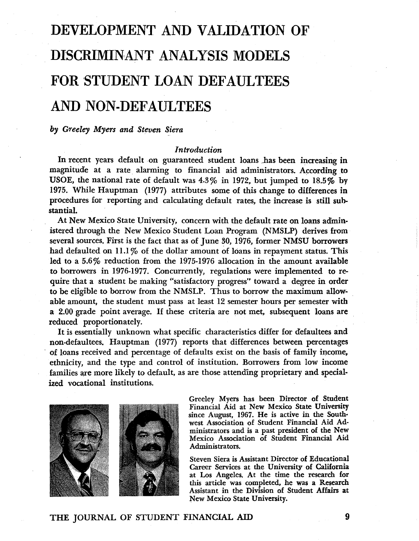# DEVELOPMEN'T AND VALIDATION OF DISCRIMIN,ANT ANALYSIS MODELS FOR STUDENT LOAN DEFAULTEES AND NON-DEFAULTEES

### *by Greeley Myers and Steven Siera*

## *Introduction*

In recent years default on guaranteed student loans has been increasing in magnitude at a rate alarming to financial aid administrators. According to USOE, the national rate of default was 4.3% in 1972, but jumped to 18.5% by 1975. While Hauptman (1977) attributes some of this change to differences in procedures for reporting and calculating default rates, the increase is still substantiaI.

At New Mexico State University, concern with the default rate on loans administered through the New Mexico Student Loan Program (NMSLP) derives from several sources. First is the fact that as of June 30, 1976, former NMSU borrowers had defaulted on 11.1% of the dollar amount of loans in repayment status. This led to a 5.6% reduction from the 1975-1976 allocation in the amount available to borrowers in 1976-1977. Concurrently, regulations were implemented to require that a student be making "satisfactory progress" toward a degree in order to be eligible to borrow from the NMSLP. Thus to borrow the maximum allowable amount, the student must pass at least 12 semester hours per semester with a 2.00 grade point average. If these criteria are not met, subsequent loans are reduced proportionately.

It is essentially unknown what specific characteristics differ for defaultees and non-defaultees. Hauptman (1977) reports that differences between percentages of loans received and percentage of defaults exist on the basis of family income, ethnicity, and the type and control of institution. Borrowers from low income families are more likely to default, as are those attending proprietary and specialized vocational institutions.



Greeley Myers has been Director of Student Financial Aid at New Mexico State University since August, 1967. He is active in the Southwest Association of Student Financial Aid Administrators and is a past president of the New Mexico Association of Student Financial Aid Administrators.

Steven Siera is Assistant Director of Educational Career Services at the University of California at Los Angeles. At the time the research for this article was completed, he was a Research Assistant in the Division of Student Affairs at New Mexico State University.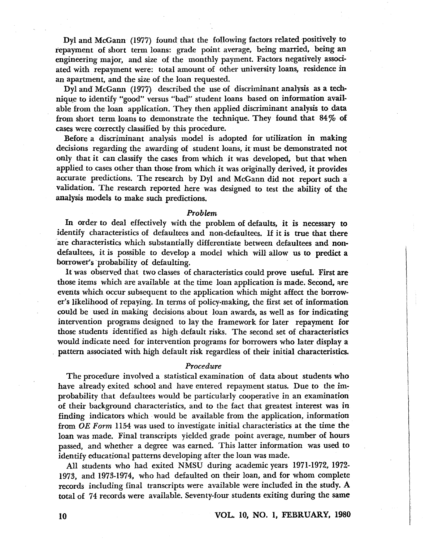Dyl and McGann (1977) found that the following factors related positively to repayment of short term loans: grade point average, being married, being an engineering major, and size of the monthly payment. Factors negatively associated with repayment were: total amount of other university loans, residence in an apartment, and the size of the loan requested.

Dyl and McGann (1977) described the use of discriminant analysis as a technique to identify "good" versus "bad" student loans based on information available from the loan application. They then applied discriminant analysis to data from short term loans to demonstrate the technique. They found that  $84\%$  of cases were correctly classified by this procedure.

Before a discriminant analysis model is adopted for utilization in making decisions regarding the awarding of student loans, it must be demonstrated not only that it can classify the cases from which it was developed, but that when applied to cases other than those from which it was originally derived, it provides accurate predictions. The research by Dyl and McGann did not report such a validation. The research reported here was designed to test the ability of the analysis models to make such predictions.

#### *Problem*

In order to deal effectively with the problem of defaults, it is necessary to identify characteristics of defaultees and non-defaultees. If it is true that there are characteristics which substantially differentiate between defaultees and nondefaultees, it is possible to develop a model which will allow us to predict a borrower's 'probability of defaulting.

It was observed that two classes of characteristics could prove useful. First are those items which are available at the time loan application is made. Second, are events which occur subsequent to the application which might affect the borrower's likelihood of repaying. In terms of policy-making, the first set of information could be used in making decisions about loan awards, as well as for indicating intervention programs designed to lay the framework for later repayment for those students identified as high default risks. The second set of characteristics would indicate need for intervention programs for borrowers who later display a pattern associated with high default risk regardless of their initial characteristics.

#### *Procedure*

The procedure involved a statistical examination of data about students who have already exited school and have entered repayment status. Due to the improbability that defaultees would be particularly cooperative in an examination of their background characteristics, and to the fact that greatest interest was in finding indicators which . would be available from the application, information from *OE Form* 1154 was used to investigate initial characteristics at the time the loan was made. Final transcripts yielded grade point average, number of hours passed, and whether a degree was earned. This latter information was used to identify educational patterns developing after the loan was made.

All students who had exited NMSU during academic years 1971-1972, 1972- 1973, and 1973-1974, who had defaulted on their loan, and for whom complete records including final transcripts were available were included in the study. A total of 74 records were available. Seventy-four students exiting during the same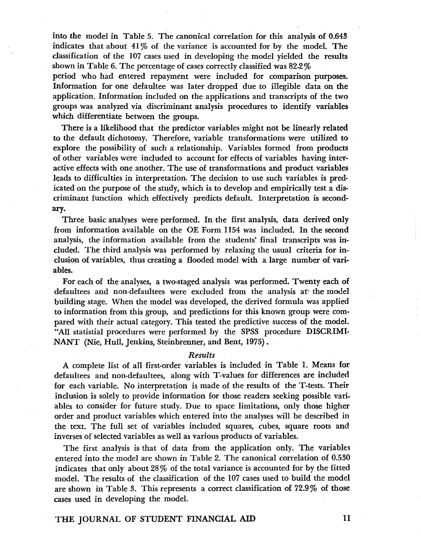into the model in Table 5. The canonical correlation for this analysis of 0.643 indicates that about  $41\%$  of the variance is accounted for by the model. The classification of the 107 cases used in developing the model yielded the results shown in Table 6. The percentage of cases correctly classified was 82.2 %

period who had entered repayment were included for comparison purposes. Information for one defaultee was later dropped due to illegible data on the application. Information included on the applications and transcripts of the two groups was analyzed via discriminant analysis procedures to identify variables which differentiate between the groups.

There is a likelihood that the predictor variables might not be linearly related to the default dichotomy. Therefore, variable transformations were utilized to explore the possibility of such a relationship. Variables formed from products of other variables were included to account for effects of variables having interactive effects with one another. The use of transformations and product variables leads to difficulties in interpretation. The decision to use such variables is predicated on the purpose of the study, which is to develop and empirically test a discriminant function which effectively predicts default. Interpretation is secondary.

Three basic analyses were performed. In the first analysis, data derived only from information available on the OE Form 1154 was included. In the second analysis, the information available from the students' final transcripts was included. The third analysis was performed by relaxing the usual criteria for inclusion of variables, thus creating a flooded model with a large number of variables.

For each of the analyses, a two-staged analysis was performed. Twenty each of defaultees and non-defaultees were excluded from the analysis at the model building stage. When the model was developed, the derived formula was applied to information from this group, and predictions for this known group were compared with their actual category. This tested the predictive success of the model. "All statistial procedures were performed by the SPSS procedure DISCRIMI· NANT (Nie, Hull, Jenkins, Steinbrenner, and Bent, 1975).

#### *Results*

A complete list of all first-order variables is included in Table 1. Means for defaultees and non-defaultees, along with T-values for differences are included for each variable. No interpretation is made of the results of the T-tests. Their inclusion is solely to provide information for those readers seeking possible variables to consider for future study. Due to space limitations, only those higher order and product variables which entered into the analyses will be described in the text. The full set of variables included squares, cubes, square roots and inverses of selected variables as well as various products of variables.

The first analysis is that of data from the application only. The variables entered into the model are shown in Table 2. The canonical correlation of 0.530 indicates that only about 28 % of the total variance is accounted for by the fitted model. The results of the classification of the 107 cases used to build the model are shown in Table 3. This represents a correct classification of 72.9 % of those cases used in developing the model.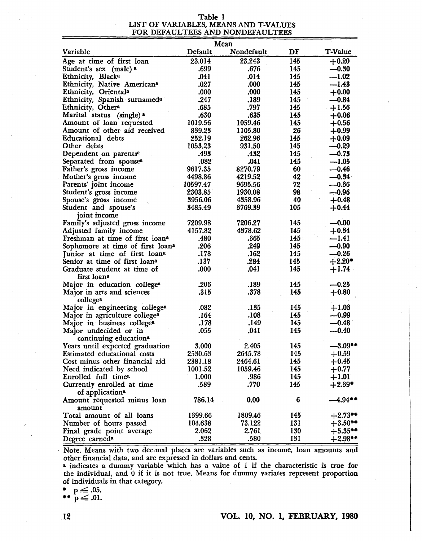#### Table 1 LIST OF VARIABLES, MEANS AND T-VALUES FOR DEFAULTEES AND NONDEFAULTEES

|                                              |          | Mean       |     |                |
|----------------------------------------------|----------|------------|-----|----------------|
| Variable                                     | Default  | Nondefault | DF  | <b>T-Value</b> |
| Age at time of first loan                    | 23.014   | 23.243     | 145 | $+0.20$        |
| Student's sex (male) a                       | .699     | .676       | 145 | $-0.30$        |
| Ethnicity, Blacka                            | .041     | .014       | 145 | $-1.02$        |
| Ethnicity, Native American <sup>a</sup>      | .027     | .000       | 145 | $-1.43$        |
| Ethnicity, Orientala                         | .000     | .000       | 145 | $+0.00$        |
| Ethnicity, Spanish surnamed <sup>a</sup>     | .247     | .189       | 145 | $-0.84$        |
| Ethnicity, Othera                            | .685     | .797       | 145 | $+1.56$        |
| Marital status (single) a                    | .630     | .635       | 145 | $+0.06$        |
| Amount of loan requested                     | 1019.56  | 1059.46    | 145 | $+0.56$        |
| Amount of other aid received                 | 839.23   | 1105.80    | 26  | $+0.99$        |
| <b>Educational</b> debts                     | 252.19   | 262.96     | 145 | $+0.09$        |
| Other debts                                  | 1053.23  | 931.50     | 145 | $-0.29$        |
| Dependent on parents <sup>a</sup>            | .493     | .432.      | 145 | $-0.73$        |
| Separated from spouse <sup>a</sup>           | .082     | .041       | 145 | $-1.05$        |
| Father's gross income                        | 9617.35  | 8270.79    | 60  | $-0.46$        |
| Mother's gross income                        | 4498.86  | 4219.52    | 42  | $-0.34$        |
| Parents' joint income                        | 10597.47 | 9695.56    | 72  | $-0.36$        |
| Student's gross income                       | 2303.85  | 1930.08    | 98  | $-0.96$        |
| Spouse's gross income                        | 3956.06  | 4358.96    | 40  | $+0.48$        |
| Student and spouse's                         | 3485.49  | 3769.39    | 105 | $+0.44$        |
| joint income                                 |          |            |     |                |
| Family's adjusted gross income               | 7209.98  | 7206.27    | 145 | $-0.00$        |
| Adjusted family income                       | 4157.82  | 4378.62    | 145 | $+0.34$        |
| Freshman at time of first loana              | .480     | .365       | 145 | $-1.41$        |
| Sophomore at time of first loan <sup>a</sup> | .206     | .249       | 145 | $-0.90$        |
| Junior at time of first loana                | .178     | .162       | 145 | $-0.26$        |
| Senior at time of first loan <sup>a</sup>    | .137     | .284       | 145 | $+2.20*$       |
| Graduate student at time of                  | .000     | .041       | 145 | $+1.74$        |
| first loan <sup>a</sup>                      |          |            |     |                |
| Major in education college <sup>a</sup>      | .206     | .189       | 145 | $-0.25$        |
| Major in arts and sciences                   | .315     | .378       | 145 | $+0.80$        |
| collegea                                     |          |            |     |                |
| Major in engineering college <sup>a</sup>    | .082     | .135       | 145 | $+1.03$        |
| Major in agriculture college <sup>a</sup>    | .164     | .108       | 145 | $-0.99$        |
| Major in business college <sup>a</sup>       | .178     | .149       | 145 | $-0.48$        |
| Major undecided or in                        | .055     | .041       | 145 | $-0.40$        |
| continuing education <sup>a</sup>            |          |            |     |                |
| Years until expected graduation              | 3.000    | 2.405      | 145 | $-3.09**$      |
| Estimated educational costs                  | 2530.63  | 2645.78    | 145 | $+0.59$        |
| Cost minus other financial aid               | 2381.18  | 2464.61    | 145 | $+0.45$        |
| Need indicated by school                     | 1001.52  | 1059.46    | 145 | $+0.77$        |
| Enrolled full time <sup>a</sup>              | 1.000    | .986       | 145 | $+1.01$        |
| Currently enrolled at time                   | .589     | .770       | 145 | $+2.39*$       |
| of application <sup>a</sup>                  |          |            |     |                |
| Amount requested minus loan                  | 786.14   | 0.00       | 6   | $-4.94**$      |
| amount                                       |          |            |     |                |
| Total amount of all loans                    | 1399.66  | 1809.46    | 145 | $+2.73**$      |
| Number of hours passed                       | 104.638  | 73.122     | 131 | $+3.50**$      |
| Final grade point average                    | 2.062    | 2.761      | 130 | $+5.35**$      |
| Degree earned <sup>a</sup>                   | .328     | .580       | 131 | $+2.98**$      |

Note. Means with two decimal places are variables such as income, loan amounts and other financial data, and are expressed in dollars and cents.

a indicates a dummy variable which has a value of 1 if the characteristic is true for the individual, and 0 if it is not true. Means for dummy variates represent proportion of individuals in that category.

$$
\bullet \quad p\leq .05.
$$

 $\bullet \bullet \, \stackrel{p}{p} \leq .01.$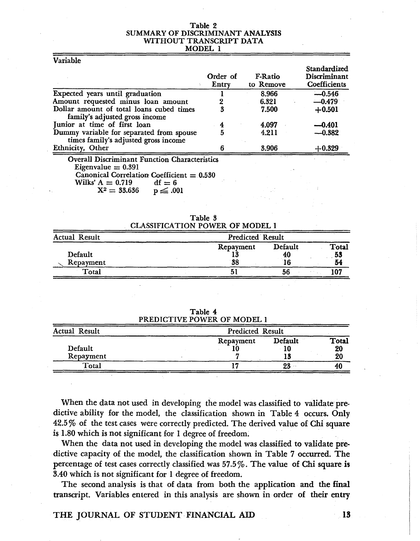#### Table 2 SUMMARY OF DISCRIMINANT ANALYSIS WITHOUT TRANSCRIPT DATA MODEL 1

Variable Expected years until graduation Amount requested minus loan amount Dollar amount of total loans cubed times family's adjusted gross income Junior at time of first loan Dummy variable for separated from spouse times family's adjusted gross income Ethnicity, Other Order of Entry 1 2 3 4 5 6 F-Ratio to Remove 8.966 6.321 7.500 4.097 4.211 3.906 Overall Discriminant Function Characteristics Eigenvalue  $= 0.391$ Standardized Discriminant **Coefficients**  $-0.546$  $-0.479$ +0.501  $-0.401$  $-0.382$  $+0.329$ 

Canonical Correlation Coefficient =  $0.530$ <br>Wilks' A =  $0.719$  df = 6

Wilks' A = 0.719 df = 6<br> $X^2 = 33.636$  p  $\leq .001$  $X^2 = 33.636$ 

| Table 3                                |  |  |  |  |
|----------------------------------------|--|--|--|--|
| <b>CLASSIFICATION POWER OF MODEL 1</b> |  |  |  |  |

| <b>Actual Result</b> |                       | Predicted Result |                   |  |
|----------------------|-----------------------|------------------|-------------------|--|
| Default<br>Repayment | Repayment<br>14<br>38 | Default<br>40    | Total<br>53<br>54 |  |
| Total                |                       | 56               |                   |  |

Table 4 PREDICTIVE POWER OF MODEL I

| Actual Result | Predicted Result |               |             |
|---------------|------------------|---------------|-------------|
| Default       | Repayment        | Default<br>10 | Total<br>20 |
| Repayment     |                  |               | 20          |
| Total         |                  | 23            | 40          |

When the data not used in developing the model was classified to validate predictive ability for the model, the classification shown in Table 4 occurs. Only 42.5 % of the test cases were correctly predicted. The derived value of Chi square is 1.80 which is not significant for 1 degree of freedom.

When the data not used in developing the model was classified to validate predictive capacity of the model, the classification shown in Table 7 occurred. The percentage of test cases correctly classified was 57.5%. The value of Chi square is 3.40 which is not significant for 1 degree of freedom.

The second analysis is that of data from both the application and the final transcript. Variables entered in this analysis are shown in order of their entry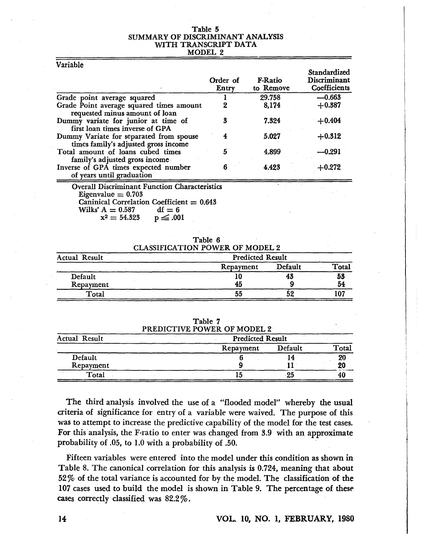#### Table 5 SUMMARY OF DISCRIMINANT ANALYSIS WITH TRANSCRIPT DATA MODEL 2

| Variable                                                                                                                    |                   |                             |                                                     |
|-----------------------------------------------------------------------------------------------------------------------------|-------------------|-----------------------------|-----------------------------------------------------|
|                                                                                                                             | Order of<br>Entry | <b>F-Ratio</b><br>to Remove | Standardized<br>Discriminant<br><b>Coefficients</b> |
| Grade point average squared                                                                                                 |                   | 29.758                      | $-0.663$                                            |
| Grade Point average squared times amount                                                                                    | 2                 | 8,174                       | $+0.387$                                            |
| requested minus amount of loan<br>Dummy variate for junior at time of<br>first loan times inverse of GPA                    | 3                 | 7.324                       | $+0.404$                                            |
| Dummy Variate for separated from spouse                                                                                     | 4                 | 5.027                       | $+0.312$                                            |
| times family's adjusted gross income                                                                                        |                   |                             |                                                     |
| Total amount of loans cubed times                                                                                           | 5                 | 4.899                       | ---0.291                                            |
| family's adjusted gross income                                                                                              |                   |                             |                                                     |
| Inverse of GPA times expected number                                                                                        | 6                 | 4.423                       | $+0.272$                                            |
| of years until graduation                                                                                                   |                   |                             |                                                     |
| <b>Overall Discriminant Function Characteristics</b><br>Eigenvalue $= 0.703$<br>Caninical Correlation Coefficient $= 0.643$ |                   |                             |                                                     |

| Table 6                                |  |
|----------------------------------------|--|
| <b>CLASSIFICATION POWER OF MODEL 2</b> |  |

Wilks' A =  $0.587$  df = 6<br> $x^2 = 54.323$  p  $\leq .001$  $x^2 = 54.323$ 

|                      | CLASSIFICATION TOWER OF MODEL 4 |         |       |
|----------------------|---------------------------------|---------|-------|
| <b>Actual Result</b> | <b>Predicted Result</b>         |         |       |
|                      | Repayment                       | Default | Total |
| Default              |                                 | 43      | 53    |
| Repayment            | 45                              |         | 54    |
| Total                | 55                              |         |       |

| Table 7            |  |
|--------------------|--|
| IATUR DAURD AR MAT |  |

| PREDICTIVE POWER OF MODEL 2 |         |       |
|-----------------------------|---------|-------|
| <b>Predicted Result</b>     |         |       |
| Repayment                   | Default | Total |
|                             |         | 20    |
|                             |         | 20    |
|                             | -25     |       |
|                             |         |       |

The third analysis involved the use of a "flooded model" whereby the usual criteria of significance for entry of a variable were waived. The purpose of this was to attempt to increase the predictive capability of the model for the test cases. For this analysis, the F-ratio to enter was changed from 3.9 with an approximate probability of .05, to 1.0 with a probability of .50.

Fifteen variables were entered into the model under this condition as shown in Table 8. The canonical correlation for this analysis is 0.724, meaning that about 52% of the total variance is accounted for by the model. The classification of the 107 cases used to build the model is shown in Table 9. The percentage of these cases correctly classified was 82.2 %.

#### 14 VOL. 10, NO. I, FEBRUARY, 1980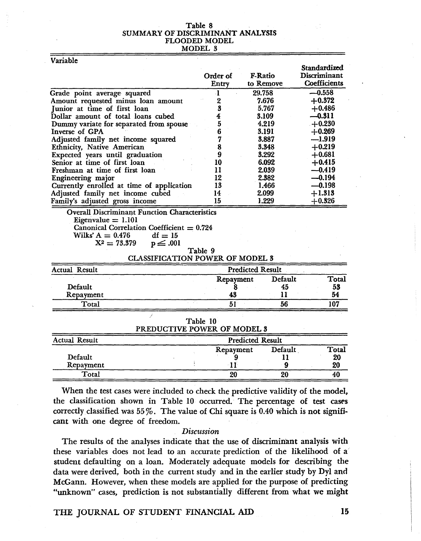# Table 8<br>SUMMARY OF DISCRIMINANT ANALYSIS FLOODED MODEL MODEL 3

|  | Variable |  |
|--|----------|--|
|  |          |  |

|                                                                                                                                                                                     | Order of<br>Entry       | F-Ratio<br>to Remove    | Standardized<br>Discriminant<br><b>Coefficients</b> |
|-------------------------------------------------------------------------------------------------------------------------------------------------------------------------------------|-------------------------|-------------------------|-----------------------------------------------------|
| Grade point average squared                                                                                                                                                         | $\mathbf{I}$            | 29.758                  | $-0.558$                                            |
| Amount requested minus loan amount                                                                                                                                                  | $\overline{\mathbf{z}}$ | 7.676                   | $+0.372$                                            |
| Junior at time of first loan                                                                                                                                                        | 3                       | 5.767                   | $+0.486$                                            |
| Dollar amount of total loans cubed                                                                                                                                                  | $\overline{\mathbf{4}}$ | 3.109                   | $-0.311$                                            |
| Dummy variate for separated from spouse                                                                                                                                             | 5                       | 4.219                   | $+0.230$                                            |
| Inverse of GPA                                                                                                                                                                      | 6                       | 3.191                   | $+0.269$                                            |
| Adjusted family net income squared                                                                                                                                                  | 7                       | 3.887                   | $-1.919$                                            |
| Ethnicity, Native American                                                                                                                                                          | 8                       | 3.348                   | $+0.219$                                            |
| Expected years until graduation                                                                                                                                                     | 9                       | 3.292                   | $+0.681$                                            |
| Senior at time of first loan                                                                                                                                                        | 10                      | 6.092                   | $+0.415$                                            |
| Freshman at time of first loan                                                                                                                                                      | 11                      | 2.039                   | $-0.419$                                            |
| Engineering major                                                                                                                                                                   | 12                      | 2.382                   | $-0.194$                                            |
| Currently enrolled at time of application                                                                                                                                           | 13                      | 1.466                   | $-0.198$                                            |
| Adjusted family net income cubed                                                                                                                                                    | 14                      | 2.099                   | $+1.313$                                            |
| Family's adjusted gross income                                                                                                                                                      | 15                      | 1.229                   | $+0.326$                                            |
| Eigenvalue $= 1.101$<br>Canonical Correlation Coefficient $= 0.724$<br>Wilks' $A = 0.476$<br>$df = 15$<br>$X^2 = 73.379$<br>$p \leq .001$<br><b>CLASSIFICATION POWER OF MODEL 3</b> | Table 9                 |                         |                                                     |
| <b>Actual Result</b>                                                                                                                                                                |                         | <b>Predicted Result</b> |                                                     |
|                                                                                                                                                                                     | Repayment               | Default                 | <b>Total</b>                                        |
| Default                                                                                                                                                                             | 8                       | 45                      | 53                                                  |
| Repayment                                                                                                                                                                           | 43                      | 11                      | 54                                                  |
| Total                                                                                                                                                                               | 51                      | 56                      | 107                                                 |
| PREDUCTIVE POWER OF MODEL 3                                                                                                                                                         | Table 10                |                         |                                                     |
| <b>Actual Result</b>                                                                                                                                                                |                         | <b>Predicted Result</b> |                                                     |
|                                                                                                                                                                                     | Repayment               | Default                 | Total                                               |
| Default                                                                                                                                                                             | 9                       | 11                      | 20                                                  |
| Repayment                                                                                                                                                                           | $\cdot\mathbf{11}$      | 9                       | 20                                                  |
| Total                                                                                                                                                                               | 20                      | 20                      | 40                                                  |

When the test cases were included to check the predictive validity of the model, the classification shown in Table 10 occurred. The percentage of test cases correctly classified was  $55\%$ . The value of Chi square is 0.40 which is not significant with one degree of freedom.

20 20

#### *Discussion*

The results of the analyses indicate that the use of discriminant analysis with these variables does not lead to an accurate prediction of the likelihood of a student defaulting on a loan. Moderately adequate models for describing the data were derived, both in the current study and in the earlier study by Dyl and McGann. However, when these models are applied for the purpose of predicting "unknown" cases, prediction is not substantially different from what we might

THE JOURNAL OF STUDENT FINANCIAL AID 15

40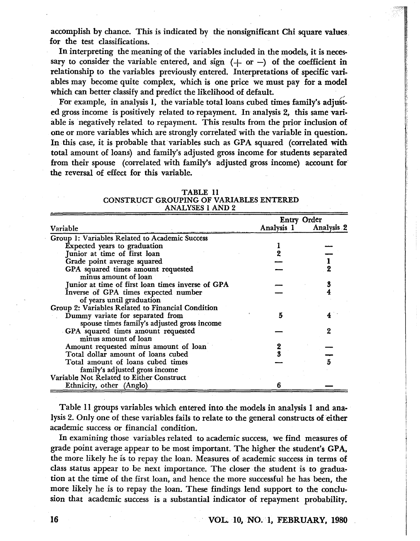accomplish by chance. This is indicated by the nonsignificant Chi square values, for the test classifications.

In interpreting the meaning of the variables included in the models, it is necessary to consider the variable entered, and sign  $(+)$  or  $-)$  of the coefficient in relationship to the variables previously entered. Interpretations of specific variabIes may become quite complex, which is one price we must pay for a model which can better classify and predict the likelihood of default.

 $~\cdots$ 

~,' , 177, 177

For example, in analysis 1, the variable total loans cubed times family's adjusted gross income is positively related to repayment. In analysis 2, this same variable is negatively related to repayment. This results from the prior inclusion of one or more variables which are strongly correlated with the variable in question. In this case, it is probable that variables such as GPA squared (correlated with total amount of loans) and family'S adjusted gross income for students separated from their spouse (correlated with family's adjusted gross income) account for' the reversal of effect for this variable.

|                                                                                 | <b>Entry Order</b> |                              |
|---------------------------------------------------------------------------------|--------------------|------------------------------|
| Variable                                                                        | Analysis 1         | <b>Analysis</b> <sub>2</sub> |
| Group 1: Variables Related to Academic Success                                  |                    |                              |
| Expected years to graduation                                                    |                    |                              |
| Junior at time of first loan                                                    |                    |                              |
| Grade point average squared                                                     |                    |                              |
| GPA squared times amount requested<br>minus amount of loan                      |                    |                              |
| Junior at time of first loan times inverse of GPA                               |                    |                              |
| Inverse of GPA times expected number<br>of years until graduation               |                    |                              |
| Group 2: Variables Related to Financial Condition                               |                    |                              |
| Dummy variate for separated from<br>spouse times family's adjusted gross income | 5                  |                              |
| GPA squared times amount requested<br>minus amount of loan                      |                    | ջ                            |
| Amount requested minus amount of loan                                           |                    |                              |
| Total dollar amount of loans cubed                                              |                    |                              |
| Total amount of loans cubed times                                               |                    |                              |
| family's adjusted gross income                                                  |                    |                              |
| Variable Not Related to Either Construct                                        |                    |                              |
| Ethnicity, other (Anglo)                                                        |                    |                              |

| TABLE 11                                |  |
|-----------------------------------------|--|
| CONSTRUCT GROUPING OF VARIABLES ENTERED |  |
| <b>ANALYSES 1 AND 2</b>                 |  |

Table 11 groups variables which entered into the models in analysis 1 and analysis 2. Only one of these variables fails to relate to the general constructs of either academic success or financial condition.

In examining those variables related to academic success, we find measures of grade point average appear to be most important. The higher the student's GPA, the more likely he is to repay the loan. Measures of academic success in terms of class status appear to be next importance. The closer the student is to graduation at the time of the first loan, and hence the more successful he has been, the more likely he is to repay the loan. These findings lend support to the conclusion that academic success is a substantial indicator of repayment probability.